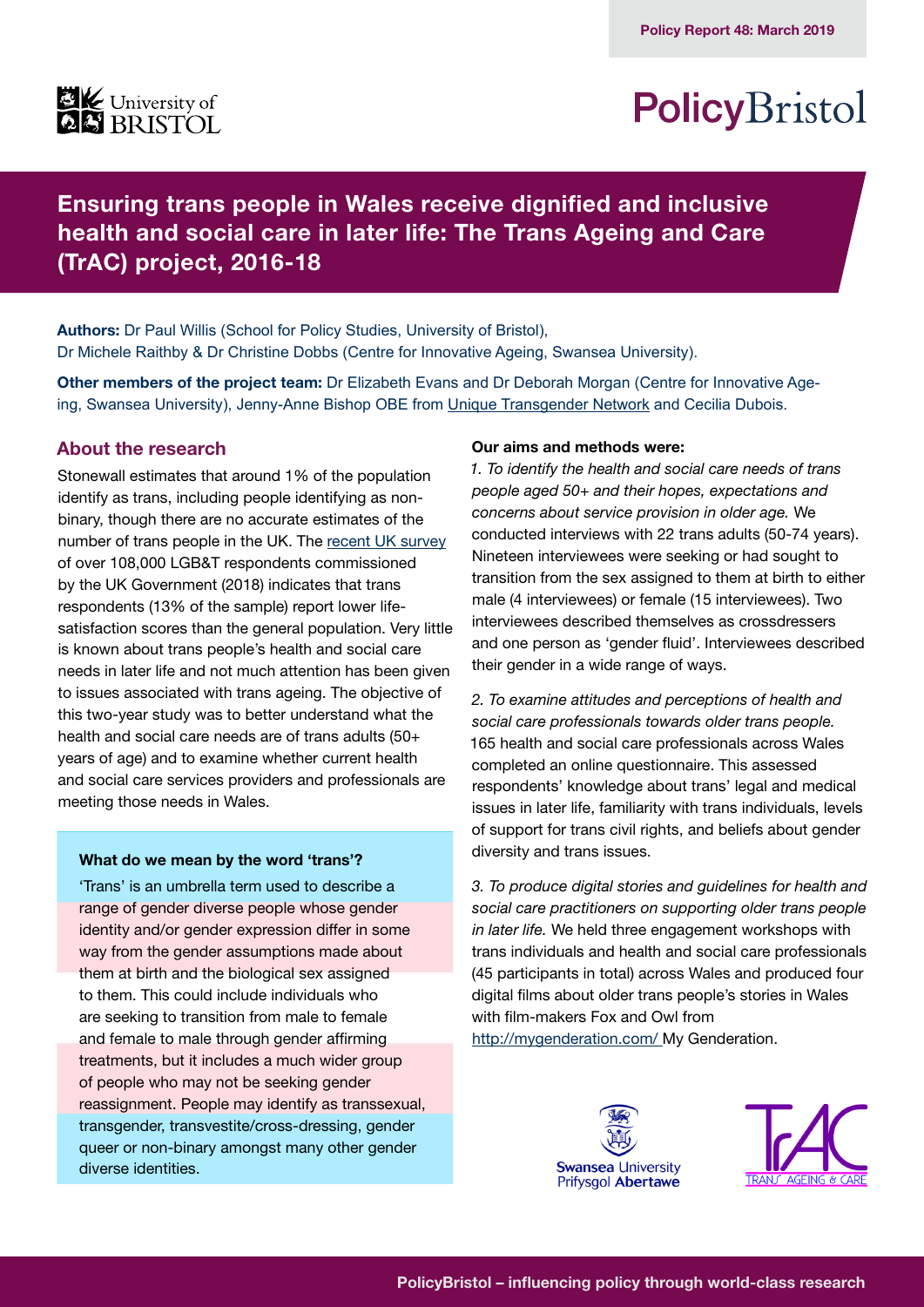

## PolicyBristol

**Ensuring trans people in Wales receive dignified and inclusive health and social care in later life: The Trans Ageing and Care (TrAC) project, 2016-18**

**Authors:** Dr Paul Willis (School for Policy Studies, University of Bristol), Dr Michele Raithby & Dr Christine Dobbs (Centre for Innovative Ageing, Swansea University).

**Other members of the project team:** Dr Elizabeth Evans and Dr Deborah Morgan (Centre for Innovative Ageing, Swansea University), Jenny-Anne Bishop OBE from [Unique Transgender Network](http://www.uniquetg.org.uk/) and Cecilia Dubois.

## **About the research**

Stonewall estimates that around 1% of the population identify as trans, including people identifying as nonbinary, though there are no accurate estimates of the number of trans people in the UK. The [recent UK survey](https://www.gov.uk/government/publications/national-lgbt-survey-summary-report) of over 108,000 LGB&T respondents commissioned by the UK Government (2018) indicates that trans respondents (13% of the sample) report lower lifesatisfaction scores than the general population. Very little is known about trans people's health and social care needs in later life and not much attention has been given to issues associated with trans ageing. The objective of this two-year study was to better understand what the health and social care needs are of trans adults (50+ years of age) and to examine whether current health and social care services providers and professionals are meeting those needs in Wales.

#### **What do we mean by the word 'trans'?**

'Trans' is an umbrella term used to describe a range of gender diverse people whose gender identity and/or gender expression differ in some way from the gender assumptions made about them at birth and the biological sex assigned to them. This could include individuals who are seeking to transition from male to female and female to male through gender affirming treatments, but it includes a much wider group of people who may not be seeking gender reassignment. People may identify as transsexual, transgender, transvestite/cross-dressing, gender queer or non-binary amongst many other gender diverse identities.

#### **Our aims and methods were:**

*1. To identify the health and social care needs of trans people aged 50+ and their hopes, expectations and concerns about service provision in older age.* We conducted interviews with 22 trans adults (50-74 years). Nineteen interviewees were seeking or had sought to transition from the sex assigned to them at birth to either male (4 interviewees) or female (15 interviewees). Two interviewees described themselves as crossdressers and one person as 'gender fluid'. Interviewees described their gender in a wide range of ways.

*2. To examine attitudes and perceptions of health and social care professionals towards older trans people.*  165 health and social care professionals across Wales completed an online questionnaire. This assessed respondents' knowledge about trans' legal and medical issues in later life, familiarity with trans individuals, levels of support for trans civil rights, and beliefs about gender diversity and trans issues.

*3. To produce digital stories and guidelines for health and social care practitioners on supporting older trans people in later life.* We held three engagement workshops with trans individuals and health and social care professionals (45 participants in total) across Wales and produced four digital films about older trans people's stories in Wales with film-makers Fox and Owl from [http://mygenderation.com/ M](http://mygenderation.com/ )y Genderation.



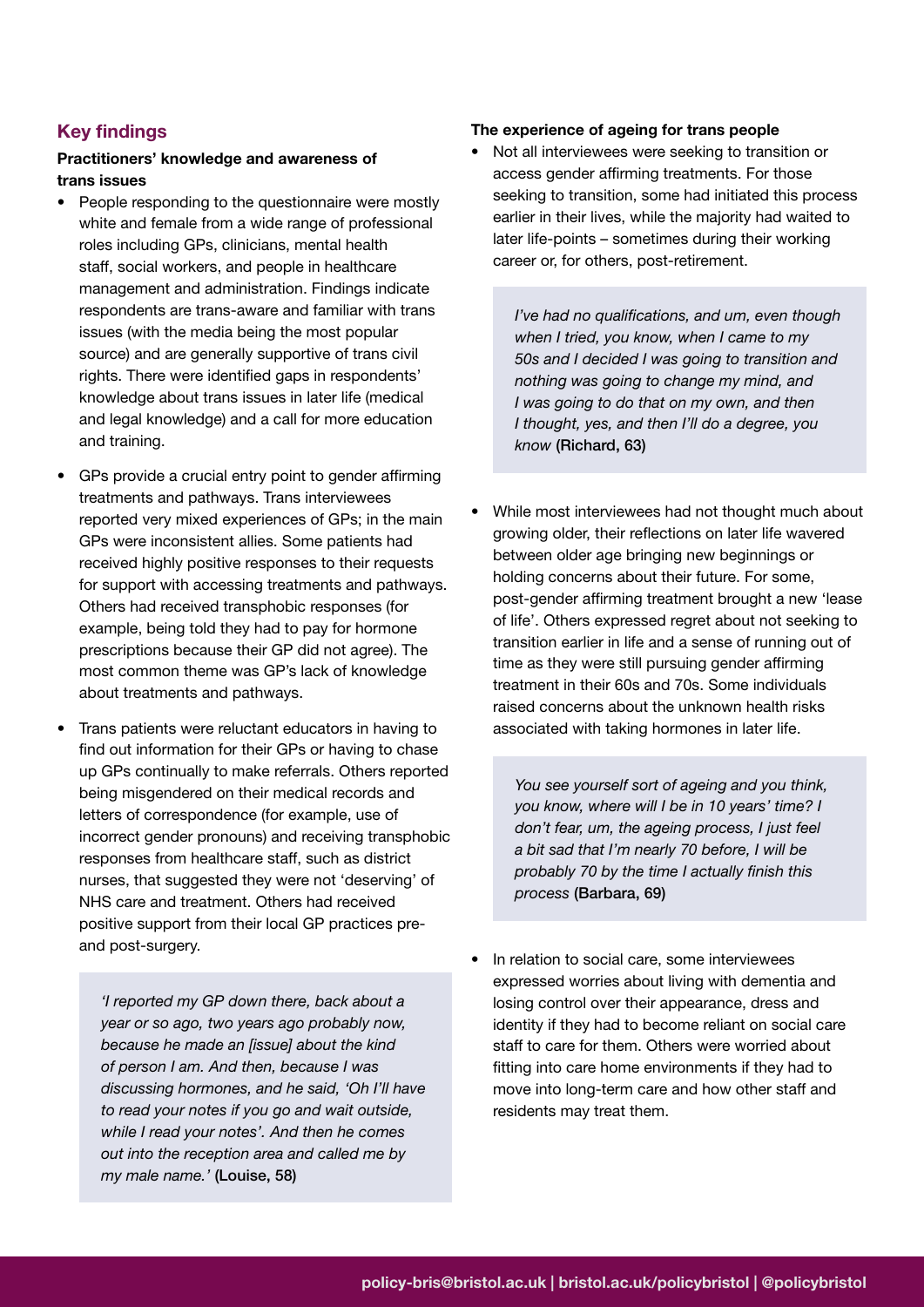## **Key findings**

## **Practitioners' knowledge and awareness of trans issues**

- People responding to the questionnaire were mostly white and female from a wide range of professional roles including GPs, clinicians, mental health staff, social workers, and people in healthcare management and administration. Findings indicate respondents are trans-aware and familiar with trans issues (with the media being the most popular source) and are generally supportive of trans civil rights. There were identified gaps in respondents' knowledge about trans issues in later life (medical and legal knowledge) and a call for more education and training.
- GPs provide a crucial entry point to gender affirming treatments and pathways. Trans interviewees reported very mixed experiences of GPs; in the main GPs were inconsistent allies. Some patients had received highly positive responses to their requests for support with accessing treatments and pathways. Others had received transphobic responses (for example, being told they had to pay for hormone prescriptions because their GP did not agree). The most common theme was GP's lack of knowledge about treatments and pathways.
- Trans patients were reluctant educators in having to find out information for their GPs or having to chase up GPs continually to make referrals. Others reported being misgendered on their medical records and letters of correspondence (for example, use of incorrect gender pronouns) and receiving transphobic responses from healthcare staff, such as district nurses, that suggested they were not 'deserving' of NHS care and treatment. Others had received positive support from their local GP practices preand post-surgery.

*'I reported my GP down there, back about a year or so ago, two years ago probably now, because he made an [issue] about the kind of person I am. And then, because I was discussing hormones, and he said, 'Oh I'll have to read your notes if you go and wait outside, while I read your notes'. And then he comes out into the reception area and called me by my male name.'* (Louise, 58)

#### **The experience of ageing for trans people**

• Not all interviewees were seeking to transition or access gender affirming treatments. For those seeking to transition, some had initiated this process earlier in their lives, while the majority had waited to later life-points – sometimes during their working career or, for others, post-retirement.

> *I've had no qualifications, and um, even though when I tried, you know, when I came to my 50s and I decided I was going to transition and nothing was going to change my mind, and I was going to do that on my own, and then I thought, yes, and then I'll do a degree, you know* (Richard, 63)

• While most interviewees had not thought much about growing older, their reflections on later life wavered between older age bringing new beginnings or holding concerns about their future. For some, post-gender affirming treatment brought a new 'lease of life'. Others expressed regret about not seeking to transition earlier in life and a sense of running out of time as they were still pursuing gender affirming treatment in their 60s and 70s. Some individuals raised concerns about the unknown health risks associated with taking hormones in later life.

*You see yourself sort of ageing and you think, you know, where will I be in 10 years' time? I don't fear, um, the ageing process, I just feel a bit sad that I'm nearly 70 before, I will be probably 70 by the time I actually finish this process* (Barbara, 69)

• In relation to social care, some interviewees expressed worries about living with dementia and losing control over their appearance, dress and identity if they had to become reliant on social care staff to care for them. Others were worried about fitting into care home environments if they had to move into long-term care and how other staff and residents may treat them.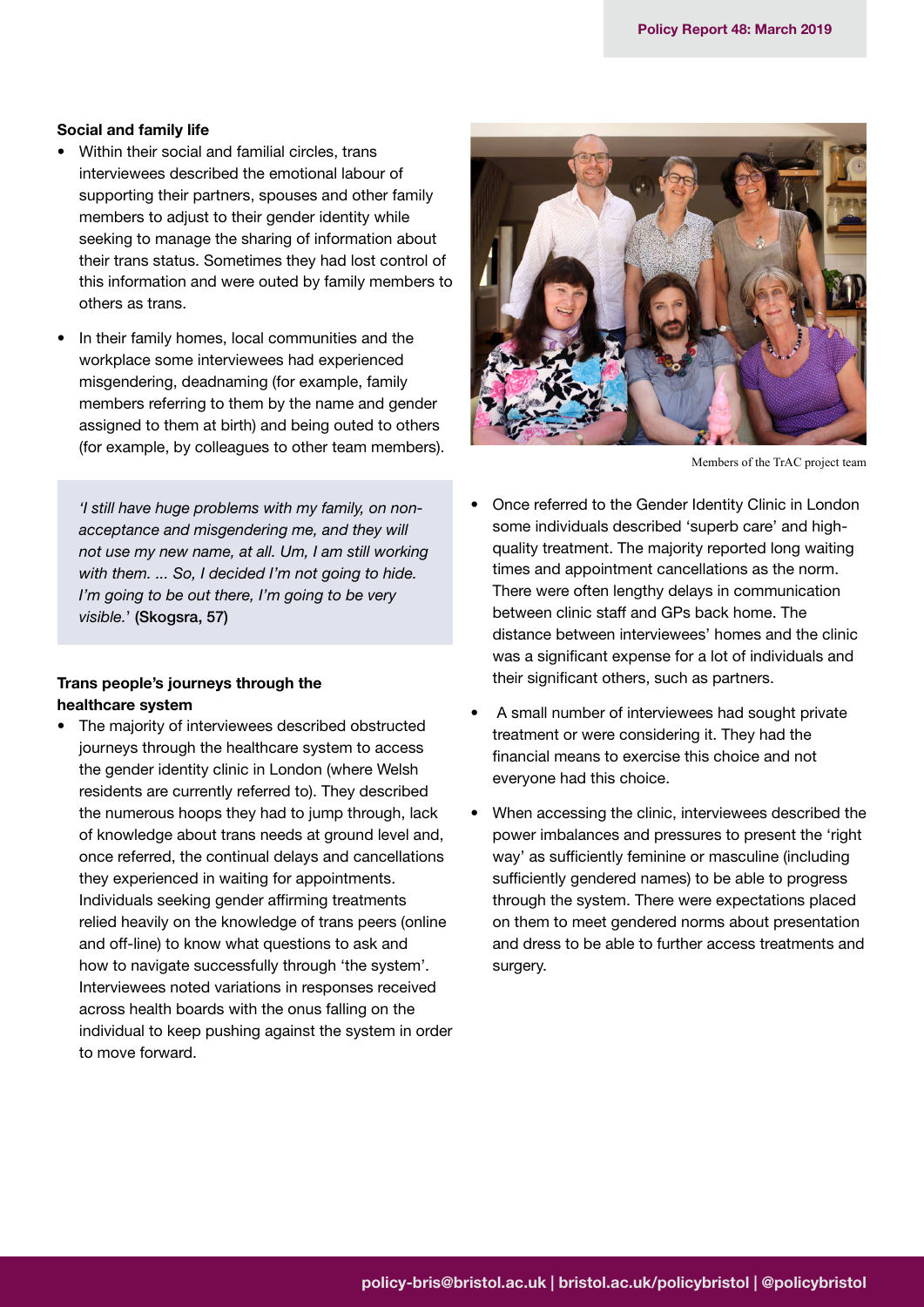#### **Social and family life**

- Within their social and familial circles, trans interviewees described the emotional labour of supporting their partners, spouses and other family members to adjust to their gender identity while seeking to manage the sharing of information about their trans status. Sometimes they had lost control of this information and were outed by family members to others as trans.
- In their family homes, local communities and the workplace some interviewees had experienced misgendering, deadnaming (for example, family members referring to them by the name and gender assigned to them at birth) and being outed to others (for example, by colleagues to other team members).

*'I still have huge problems with my family, on nonacceptance and misgendering me, and they will not use my new name, at all. Um, I am still working with them. ... So, I decided I'm not going to hide. I'm going to be out there, I'm going to be very visible.*' (Skogsra, 57)

#### **Trans people's journeys through the healthcare system**

The majority of interviewees described obstructed journeys through the healthcare system to access the gender identity clinic in London (where Welsh residents are currently referred to). They described the numerous hoops they had to jump through, lack of knowledge about trans needs at ground level and, once referred, the continual delays and cancellations they experienced in waiting for appointments. Individuals seeking gender affirming treatments relied heavily on the knowledge of trans peers (online and off-line) to know what questions to ask and how to navigate successfully through 'the system'. Interviewees noted variations in responses received across health boards with the onus falling on the individual to keep pushing against the system in order to move forward.



Members of the TrAC project team

- Once referred to the Gender Identity Clinic in London some individuals described 'superb care' and highquality treatment. The majority reported long waiting times and appointment cancellations as the norm. There were often lengthy delays in communication between clinic staff and GPs back home. The distance between interviewees' homes and the clinic was a significant expense for a lot of individuals and their significant others, such as partners.
- A small number of interviewees had sought private treatment or were considering it. They had the financial means to exercise this choice and not everyone had this choice.
- When accessing the clinic, interviewees described the power imbalances and pressures to present the 'right way' as sufficiently feminine or masculine (including sufficiently gendered names) to be able to progress through the system. There were expectations placed on them to meet gendered norms about presentation and dress to be able to further access treatments and surgery.